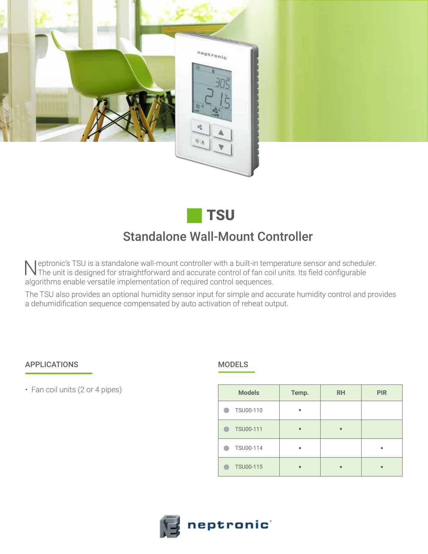



# Standalone Wall-Mount Controller

Neptronic's TSU is a standalone wall-mount controller with a built-in temperature sensor and scheduler. The unit is designed for straightforward and accurate control of fan coil units. Its field configurable algorithms enable versatile implementation of required control sequences.

The TSU also provides an optional humidity sensor input for simple and accurate humidity control and provides a dehumidification sequence compensated by auto activation of reheat output.

#### APPLICATIONS MODELS

• Fan coil units (2 or 4 pipes)

| <b>Models</b>    | Temp. | <b>RH</b> | <b>PIR</b> |
|------------------|-------|-----------|------------|
| TSU00-110        |       |           |            |
| <b>TSU00-111</b> |       |           |            |
| TSU00-114        |       |           |            |
| <b>TSU00-115</b> |       |           |            |